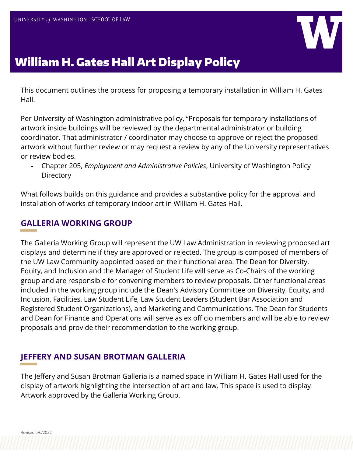

# William H. Gates Hall Art Display Policy

This document outlines the process for proposing a temporary installation in William H. Gates Hall.

Per University of Washington administrative policy, "Proposals for temporary installations of artwork inside buildings will be reviewed by the departmental administrator or building coordinator. That administrator / coordinator may choose to approve or reject the proposed artwork without further review or may request a review by any of the University representatives or review bodies.

- Chapter 205, *Employment and Administrative Policies*, University of Washington Policy **Directory** 

What follows builds on this guidance and provides a substantive policy for the approval and installation of works of temporary indoor art in William H. Gates Hall.

## **GALLERIA WORKING GROUP**

The Galleria Working Group will represent the UW Law Administration in reviewing proposed art displays and determine if they are approved or rejected. The group is composed of members of the UW Law Community appointed based on their functional area. The Dean for Diversity, Equity, and Inclusion and the Manager of Student Life will serve as Co-Chairs of the working group and are responsible for convening members to review proposals. Other functional areas included in the working group include the Dean's Advisory Committee on Diversity, Equity, and Inclusion, Facilities, Law Student Life, Law Student Leaders (Student Bar Association and Registered Student Organizations), and Marketing and Communications. The Dean for Students and Dean for Finance and Operations will serve as ex officio members and will be able to review proposals and provide their recommendation to the working group.

## **JEFFERY AND SUSAN BROTMAN GALLERIA**

The Jeffery and Susan Brotman Galleria is a named space in William H. Gates Hall used for the display of artwork highlighting the intersection of art and law. This space is used to display Artwork approved by the Galleria Working Group.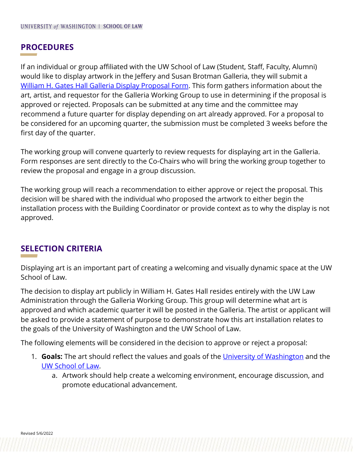#### **PROCEDURES**

If an individual or group affiliated with the UW School of Law (Student, Staff, Faculty, Alumni) would like to display artwork in the Jeffery and Susan Brotman Galleria, they will submit a [William H. Gates Hall Galleria Display Proposal Form.](https://forms.office.com/r/YLd0taDvX1) This form gathers information about the art, artist, and requestor for the Galleria Working Group to use in determining if the proposal is approved or rejected. Proposals can be submitted at any time and the committee may recommend a future quarter for display depending on art already approved. For a proposal to be considered for an upcoming quarter, the submission must be completed 3 weeks before the first day of the quarter.

The working group will convene quarterly to review requests for displaying art in the Galleria. Form responses are sent directly to the Co-Chairs who will bring the working group together to review the proposal and engage in a group discussion.

The working group will reach a recommendation to either approve or reject the proposal. This decision will be shared with the individual who proposed the artwork to either begin the installation process with the Building Coordinator or provide context as to why the display is not approved.

#### **SELECTION CRITERIA**

Displaying art is an important part of creating a welcoming and visually dynamic space at the UW School of Law.

The decision to display art publicly in William H. Gates Hall resides entirely with the UW Law Administration through the Galleria Working Group. This group will determine what art is approved and which academic quarter it will be posted in the Galleria. The artist or applicant will be asked to provide a statement of purpose to demonstrate how this art installation relates to the goals of the University of Washington and the UW School of Law.

The following elements will be considered in the decision to approve or reject a proposal:

- 1. **Goals:** The art should reflect the values and goals of the [University of Washington](https://www.washington.edu/about/visionvalues/#:%7E:text=We%20promote%20access%20to%20excellence,mind%20through%20unique%20interdisciplinary%20partnerships.) and the [UW School of Law.](https://www.law.uw.edu/about)
	- a. Artwork should help create a welcoming environment, encourage discussion, and promote educational advancement.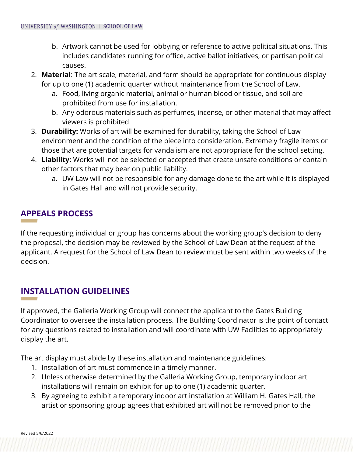- b. Artwork cannot be used for lobbying or reference to active political situations. This includes candidates running for office, active ballot initiatives, or partisan political causes.
- 2. **Material**: The art scale, material, and form should be appropriate for continuous display for up to one (1) academic quarter without maintenance from the School of Law.
	- a. Food, living organic material, animal or human blood or tissue, and soil are prohibited from use for installation.
	- b. Any odorous materials such as perfumes, incense, or other material that may affect viewers is prohibited.
- 3. **Durability:** Works of art will be examined for durability, taking the School of Law environment and the condition of the piece into consideration. Extremely fragile items or those that are potential targets for vandalism are not appropriate for the school setting.
- 4. **Liability:** Works will not be selected or accepted that create unsafe conditions or contain other factors that may bear on public liability.
	- a. UW Law will not be responsible for any damage done to the art while it is displayed in Gates Hall and will not provide security.

## **APPEALS PROCESS**

If the requesting individual or group has concerns about the working group's decision to deny the proposal, the decision may be reviewed by the School of Law Dean at the request of the applicant. A request for the School of Law Dean to review must be sent within two weeks of the decision.

## **INSTALLATION GUIDELINES**

If approved, the Galleria Working Group will connect the applicant to the Gates Building Coordinator to oversee the installation process. The Building Coordinator is the point of contact for any questions related to installation and will coordinate with UW Facilities to appropriately display the art.

The art display must abide by these installation and maintenance guidelines:

- 1. Installation of art must commence in a timely manner.
- 2. Unless otherwise determined by the Galleria Working Group, temporary indoor art installations will remain on exhibit for up to one (1) academic quarter.
- 3. By agreeing to exhibit a temporary indoor art installation at William H. Gates Hall, the artist or sponsoring group agrees that exhibited art will not be removed prior to the